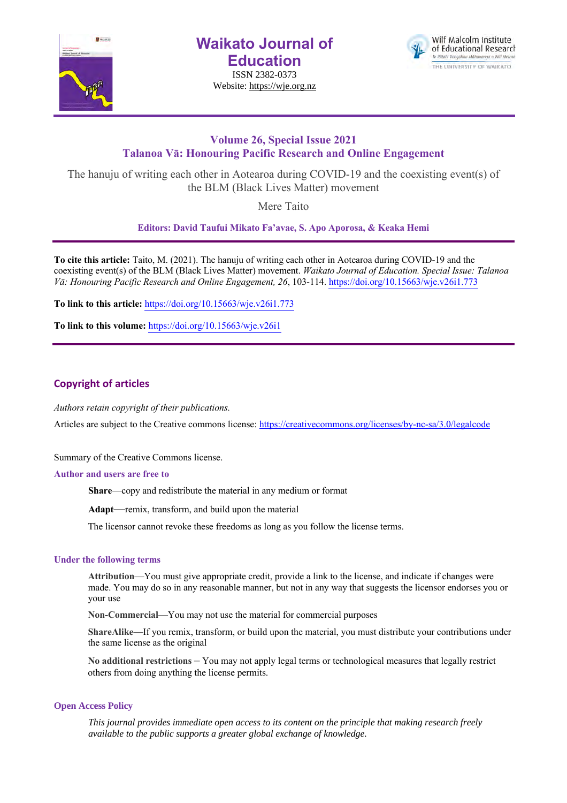

**Waikato Journal of Education**

ISSN 2382-0373 Website: https://wje.org.nz



## **Volume 26, Special Issue 2021 Talanoa Vā: Honouring Pacific Research and Online Engagement**

The hanuju of writing each other in Aotearoa during COVID-19 and the coexisting event(s) of the BLM (Black Lives Matter) movement

Mere Taito

**Editors: David Taufui Mikato Fa'avae, S. Apo Aporosa, & Keaka Hemi**

**To cite this article:** Taito, M. (2021). The hanuju of writing each other in Aotearoa during COVID-19 and the coexisting event(s) of the BLM (Black Lives Matter) movement. *Waikato Journal of Education. Special Issue: Talanoa Vā: Honouring Pacific Research and Online Engagement, 26*, 103-114. https://doi.org/10.15663/wje.v26i1.773

**To link to this article:** https://doi.org/10.15663/wje.v26i1.773

**To link to this volume:** https://doi.org/10.15663/wje.v26i1

### **Copyright of articles**

*Authors retain copyright of their publications.*

Articles are subject to the Creative commons license: https://creativecommons.org/licenses/by-nc-sa/3.0/legalcode

Summary of the Creative Commons license.

#### **Author and users are free to**

**Share**—copy and redistribute the material in any medium or format

**Adapt**—remix, transform, and build upon the material

The licensor cannot revoke these freedoms as long as you follow the license terms.

### **Under the following terms**

**Attribution**—You must give appropriate credit, provide a link to the license, and indicate if changes were made. You may do so in any reasonable manner, but not in any way that suggests the licensor endorses you or your use

**Non-Commercial**—You may not use the material for commercial purposes

**ShareAlike**—If you remix, transform, or build upon the material, you must distribute your contributions under the same license as the original

**No additional restrictions** – You may not apply legal terms or technological measures that legally restrict others from doing anything the license permits.

### **Open Access Policy**

*This journal provides immediate open access to its content on the principle that making research freely available to the public supports a greater global exchange of knowledge.*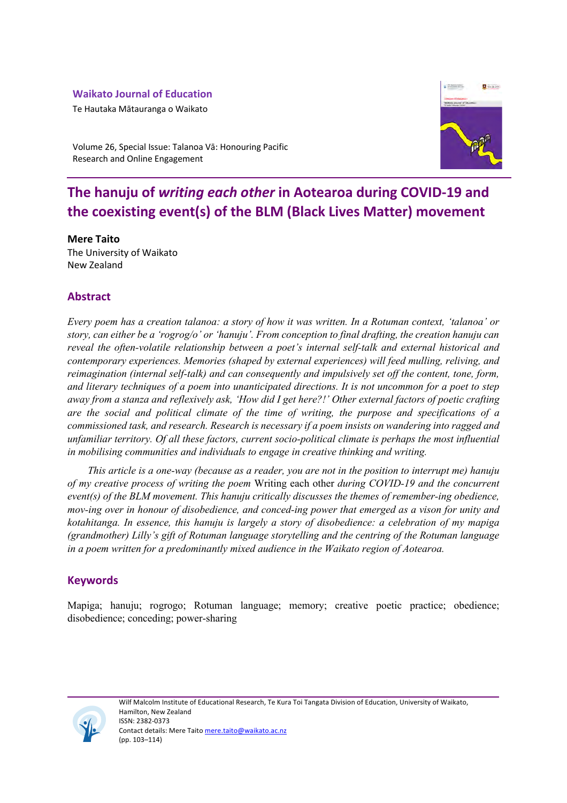### **Waikato Journal of Education**

Te Hautaka Mātauranga o Waikato



Volume 26, Special Issue: Talanoa Vā: Honouring Pacific Research and Online Engagement

# **The hanuju of** *writing each other* **in Aotearoa during COVID-19 and the coexisting event(s) of the BLM (Black Lives Matter) movement**

**Mere Taito**  The University of Waikato New Zealand

## **Abstract**

*Every poem has a creation talanoa: a story of how it was written. In a Rotuman context, 'talanoa' or story, can either be a 'rogrog/o' or 'hanuju'. From conception to final drafting, the creation hanuju can reveal the often-volatile relationship between a poet's internal self-talk and external historical and contemporary experiences. Memories (shaped by external experiences) will feed mulling, reliving, and reimagination (internal self-talk) and can consequently and impulsively set off the content, tone, form, and literary techniques of a poem into unanticipated directions. It is not uncommon for a poet to step away from a stanza and reflexively ask, 'How did I get here?!' Other external factors of poetic crafting are the social and political climate of the time of writing, the purpose and specifications of a commissioned task, and research. Research is necessary if a poem insists on wandering into ragged and unfamiliar territory. Of all these factors, current socio-political climate is perhaps the most influential in mobilising communities and individuals to engage in creative thinking and writing.* 

*This article is a one-way (because as a reader, you are not in the position to interrupt me) hanuju of my creative process of writing the poem* Writing each other *during COVID-19 and the concurrent event(s) of the BLM movement. This hanuju critically discusses the themes of remember-ing obedience, mov-ing over in honour of disobedience, and conced-ing power that emerged as a vison for unity and kotahitanga. In essence, this hanuju is largely a story of disobedience: a celebration of my mapiga (grandmother) Lilly's gift of Rotuman language storytelling and the centring of the Rotuman language in a poem written for a predominantly mixed audience in the Waikato region of Aotearoa.* 

## **Keywords**

Mapiga; hanuju; rogrogo; Rotuman language; memory; creative poetic practice; obedience; disobedience; conceding; power-sharing

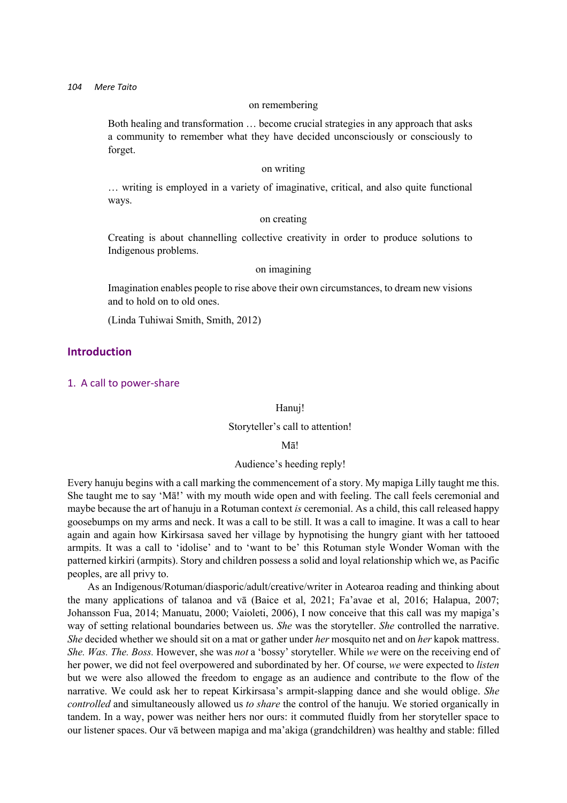#### on remembering

Both healing and transformation … become crucial strategies in any approach that asks a community to remember what they have decided unconsciously or consciously to forget.

#### on writing

… writing is employed in a variety of imaginative, critical, and also quite functional ways.

#### on creating

Creating is about channelling collective creativity in order to produce solutions to Indigenous problems.

#### on imagining

Imagination enables people to rise above their own circumstances, to dream new visions and to hold on to old ones.

(Linda Tuhiwai Smith, Smith, 2012)

### **Introduction**

#### 1. A call to power-share

Hanuj!

#### Storyteller's call to attention!

Mā!

#### Audience's heeding reply!

Every hanuju begins with a call marking the commencement of a story. My mapiga Lilly taught me this. She taught me to say 'Mā!' with my mouth wide open and with feeling. The call feels ceremonial and maybe because the art of hanuju in a Rotuman context *is* ceremonial. As a child, this call released happy goosebumps on my arms and neck. It was a call to be still. It was a call to imagine. It was a call to hear again and again how Kirkirsasa saved her village by hypnotising the hungry giant with her tattooed armpits. It was a call to 'idolise' and to 'want to be' this Rotuman style Wonder Woman with the patterned kirkiri (armpits). Story and children possess a solid and loyal relationship which we, as Pacific peoples, are all privy to.

As an Indigenous/Rotuman/diasporic/adult/creative/writer in Aotearoa reading and thinking about the many applications of talanoa and vā (Baice et al, 2021; Fa'avae et al, 2016; Halapua, 2007; Johansson Fua, 2014; Manuatu, 2000; Vaioleti, 2006), I now conceive that this call was my mapiga's way of setting relational boundaries between us. *She* was the storyteller. *She* controlled the narrative. *She* decided whether we should sit on a mat or gather under *her* mosquito net and on *her* kapok mattress. *She. Was. The. Boss.* However, she was *not* a 'bossy' storyteller. While *we* were on the receiving end of her power, we did not feel overpowered and subordinated by her. Of course, *we* were expected to *listen* but we were also allowed the freedom to engage as an audience and contribute to the flow of the narrative. We could ask her to repeat Kirkirsasa's armpit-slapping dance and she would oblige. *She controlled* and simultaneously allowed us *to share* the control of the hanuju. We storied organically in tandem. In a way, power was neither hers nor ours: it commuted fluidly from her storyteller space to our listener spaces. Our vā between mapiga and ma'akiga (grandchildren) was healthy and stable: filled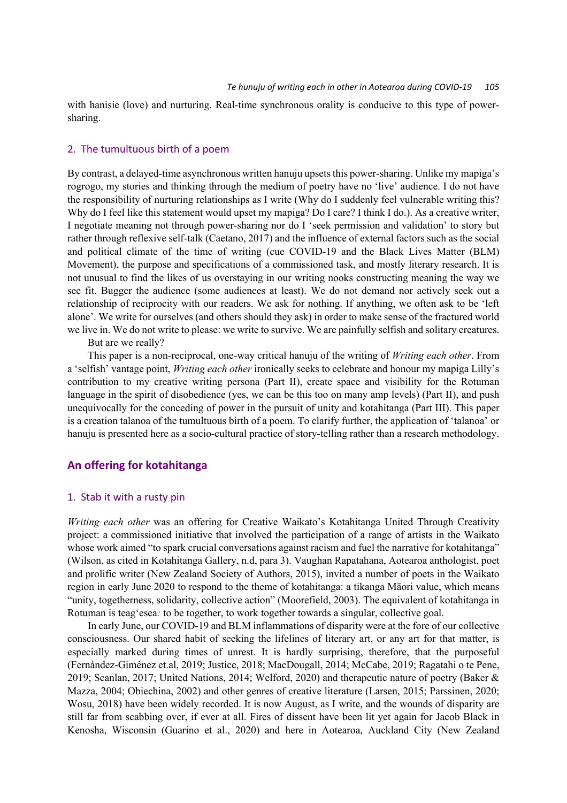with hanisie (love) and nurturing. Real-time synchronous orality is conducive to this type of powersharing.

#### 2. The tumultuous birth of a poem

By contrast, a delayed-time asynchronous written hanuju upsets this power-sharing. Unlike my mapiga's rogrogo, my stories and thinking through the medium of poetry have no 'live' audience. I do not have the responsibility of nurturing relationships as I write (Why do I suddenly feel vulnerable writing this? Why do I feel like this statement would upset my mapiga? Do I care? I think I do.). As a creative writer, I negotiate meaning not through power-sharing nor do I 'seek permission and validation' to story but rather through reflexive self-talk (Caetano, 2017) and the influence of external factors such as the social and political climate of the time of writing (cue COVID-19 and the Black Lives Matter (BLM) Movement), the purpose and specifications of a commissioned task, and mostly literary research. It is not unusual to find the likes of us overstaying in our writing nooks constructing meaning the way we see fit. Bugger the audience (some audiences at least). We do not demand nor actively seek out a relationship of reciprocity with our readers. We ask for nothing. If anything, we often ask to be 'left alone'. We write for ourselves (and others should they ask) in order to make sense of the fractured world we live in. We do not write to please: we write to survive. We are painfully selfish and solitary creatures.

But are we really?

This paper is a non-reciprocal, one-way critical hanuju of the writing of *Writing each other*. From a 'selfish' vantage point, *Writing each other* ironically seeks to celebrate and honour my mapiga Lilly's contribution to my creative writing persona (Part II), create space and visibility for the Rotuman language in the spirit of disobedience (yes, we can be this too on many amp levels) (Part II), and push unequivocally for the conceding of power in the pursuit of unity and kotahitanga (Part III). This paper is a creation talanoa of the tumultuous birth of a poem. To clarify further, the application of 'talanoa' or hanuju is presented here as a socio-cultural practice of story-telling rather than a research methodology.

### **An offering for kotahitanga**

#### 1. Stab it with a rusty pin

*Writing each other* was an offering for Creative Waikato's Kotahitanga United Through Creativity project: a commissioned initiative that involved the participation of a range of artists in the Waikato whose work aimed "to spark crucial conversations against racism and fuel the narrative for kotahitanga" (Wilson, as cited in Kotahitanga Gallery, n.d, para 3). Vaughan Rapatahana, Aotearoa anthologist, poet and prolific writer (New Zealand Society of Authors, 2015), invited a number of poets in the Waikato region in early June 2020 to respond to the theme of kotahitanga: a tikanga Māori value, which means "unity, togetherness, solidarity, collective action" (Moorefield, 2003). The equivalent of kotahitanga in Rotuman is teag'esea*:* to be together, to work together towards a singular, collective goal.

In early June, our COVID-19 and BLM inflammations of disparity were at the fore of our collective consciousness. Our shared habit of seeking the lifelines of literary art, or any art for that matter, is especially marked during times of unrest. It is hardly surprising, therefore, that the purposeful (Fernández-Giménez et.al, 2019; Justice, 2018; MacDougall, 2014; McCabe, 2019; Ragatahi o te Pene, 2019; Scanlan, 2017; United Nations, 2014; Welford, 2020) and therapeutic nature of poetry (Baker & Mazza, 2004; Obiechina, 2002) and other genres of creative literature (Larsen, 2015; Parssinen, 2020; Wosu, 2018) have been widely recorded. It is now August, as I write, and the wounds of disparity are still far from scabbing over, if ever at all. Fires of dissent have been lit yet again for Jacob Black in Kenosha, Wisconsin (Guarino et al., 2020) and here in Aotearoa, Auckland City (New Zealand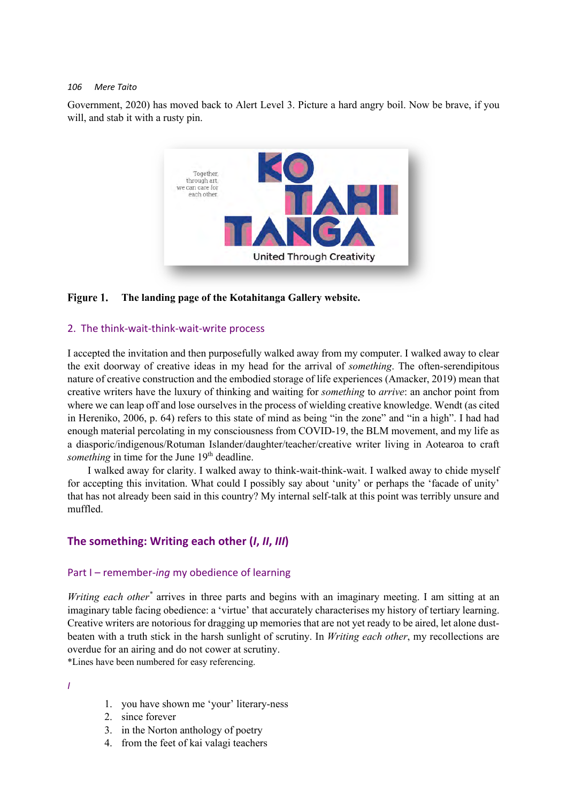Government, 2020) has moved back to Alert Level 3. Picture a hard angry boil. Now be brave, if you will, and stab it with a rusty pin.



#### Figure 1. **The landing page of the Kotahitanga Gallery website.**

#### 2. The think-wait-think-wait-write process

I accepted the invitation and then purposefully walked away from my computer. I walked away to clear the exit doorway of creative ideas in my head for the arrival of *something*. The often-serendipitous nature of creative construction and the embodied storage of life experiences (Amacker, 2019) mean that creative writers have the luxury of thinking and waiting for *something* to *arrive*: an anchor point from where we can leap off and lose ourselves in the process of wielding creative knowledge. Wendt (as cited in Hereniko, 2006, p. 64) refers to this state of mind as being "in the zone" and "in a high". I had had enough material percolating in my consciousness from COVID-19, the BLM movement, and my life as a diasporic/indigenous/Rotuman Islander/daughter/teacher/creative writer living in Aotearoa to craft *something* in time for the June 19<sup>th</sup> deadline.

I walked away for clarity. I walked away to think-wait-think-wait. I walked away to chide myself for accepting this invitation. What could I possibly say about 'unity' or perhaps the 'facade of unity' that has not already been said in this country? My internal self-talk at this point was terribly unsure and muffled.

### **The something: Writing each other (***I***,** *II***,** *III***)**

#### Part I – remember-*ing* my obedience of learning

*Writing each other\** arrives in three parts and begins with an imaginary meeting. I am sitting at an imaginary table facing obedience: a 'virtue' that accurately characterises my history of tertiary learning. Creative writers are notorious for dragging up memories that are not yet ready to be aired, let alone dustbeaten with a truth stick in the harsh sunlight of scrutiny. In *Writing each other*, my recollections are overdue for an airing and do not cower at scrutiny.

\*Lines have been numbered for easy referencing.

*I*

- 1. you have shown me 'your' literary-ness
- 2. since forever
- 3. in the Norton anthology of poetry
- 4. from the feet of kai valagi teachers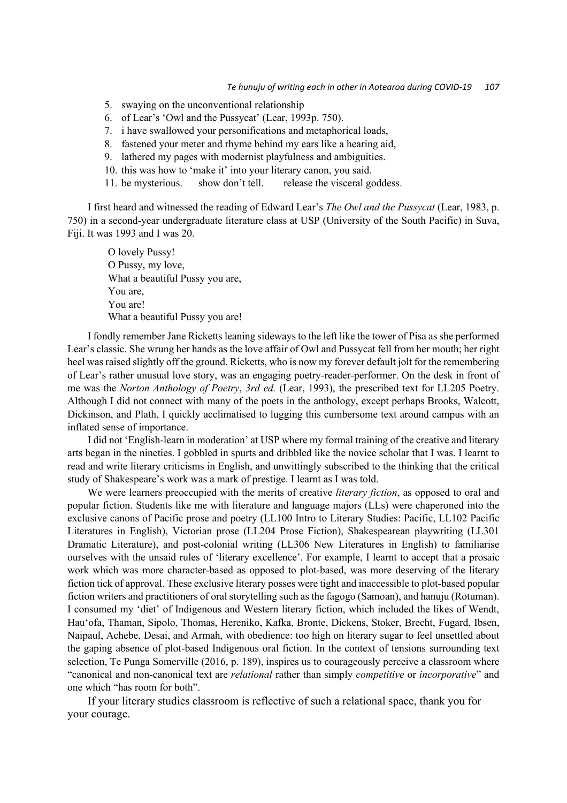- 5. swaying on the unconventional relationship
- 6. of Lear's 'Owl and the Pussycat' (Lear, 1993p. 750).
- 7. i have swallowed your personifications and metaphorical loads,
- 8. fastened your meter and rhyme behind my ears like a hearing aid,
- 9. lathered my pages with modernist playfulness and ambiguities.
- 10. this was how to 'make it' into your literary canon, you said.
- 11. be mysterious. show don't tell. release the visceral goddess.

I first heard and witnessed the reading of Edward Lear's *The Owl and the Pussycat* (Lear, 1983, p. 750) in a second-year undergraduate literature class at USP (University of the South Pacific) in Suva, Fiji. It was 1993 and I was 20.

O lovely Pussy! O Pussy, my love, What a beautiful Pussy you are, You are, You are! What a beautiful Pussy you are!

I fondly remember Jane Ricketts leaning sideways to the left like the tower of Pisa as she performed Lear's classic. She wrung her hands as the love affair of Owl and Pussycat fell from her mouth; her right heel was raised slightly off the ground. Ricketts, who is now my forever default jolt for the remembering of Lear's rather unusual love story, was an engaging poetry-reader-performer. On the desk in front of me was the *Norton Anthology of Poetry*, *3rd ed.* (Lear, 1993), the prescribed text for LL205 Poetry. Although I did not connect with many of the poets in the anthology, except perhaps Brooks, Walcott, Dickinson, and Plath, I quickly acclimatised to lugging this cumbersome text around campus with an inflated sense of importance.

I did not 'English-learn in moderation' at USP where my formal training of the creative and literary arts began in the nineties. I gobbled in spurts and dribbled like the novice scholar that I was. I learnt to read and write literary criticisms in English, and unwittingly subscribed to the thinking that the critical study of Shakespeare's work was a mark of prestige. I learnt as I was told.

We were learners preoccupied with the merits of creative *literary fiction*, as opposed to oral and popular fiction. Students like me with literature and language majors (LLs) were chaperoned into the exclusive canons of Pacific prose and poetry (LL100 Intro to Literary Studies: Pacific, LL102 Pacific Literatures in English), Victorian prose (LL204 Prose Fiction), Shakespearean playwriting (LL301 Dramatic Literature), and post-colonial writing (LL306 New Literatures in English) to familiarise ourselves with the unsaid rules of 'literary excellence'. For example, I learnt to accept that a prosaic work which was more character-based as opposed to plot-based, was more deserving of the literary fiction tick of approval. These exclusive literary posses were tight and inaccessible to plot-based popular fiction writers and practitioners of oral storytelling such as the fagogo (Samoan), and hanuju (Rotuman). I consumed my 'diet' of Indigenous and Western literary fiction, which included the likes of Wendt, Hau'ofa, Thaman, Sipolo, Thomas, Hereniko, Kafka, Bronte, Dickens, Stoker, Brecht, Fugard, Ibsen, Naipaul, Achebe, Desai, and Armah, with obedience: too high on literary sugar to feel unsettled about the gaping absence of plot-based Indigenous oral fiction. In the context of tensions surrounding text selection, Te Punga Somerville (2016, p. 189), inspires us to courageously perceive a classroom where "canonical and non-canonical text are *relational* rather than simply *competitive* or *incorporative*" and one which "has room for both".

If your literary studies classroom is reflective of such a relational space, thank you for your courage.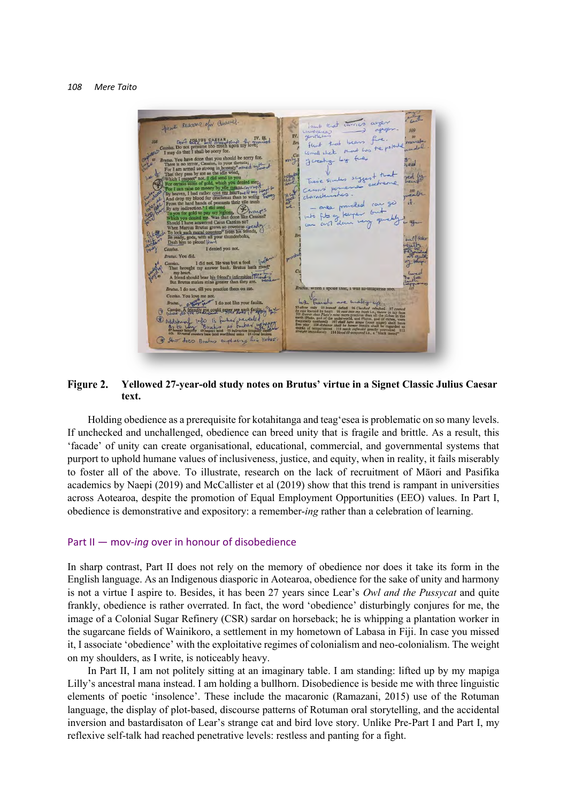

#### **Yellowed 27-year-old study notes on Brutus' virtue in a Signet Classic Julius Caesar**  Figure 2. **text.**

Holding obedience as a prerequisite for kotahitanga and teag'esea is problematic on so many levels. If unchecked and unchallenged, obedience can breed unity that is fragile and brittle. As a result, this 'facade' of unity can create organisational, educational, commercial, and governmental systems that purport to uphold humane values of inclusiveness, justice, and equity, when in reality, it fails miserably to foster all of the above. To illustrate, research on the lack of recruitment of Māori and Pasifika academics by Naepi (2019) and McCallister et al (2019) show that this trend is rampant in universities across Aotearoa, despite the promotion of Equal Employment Opportunities (EEO) values. In Part I, obedience is demonstrative and expository: a remember-*ing* rather than a celebration of learning.

#### Part II — mov-*ing* over in honour of disobedience

In sharp contrast, Part II does not rely on the memory of obedience nor does it take its form in the English language. As an Indigenous diasporic in Aotearoa, obedience for the sake of unity and harmony is not a virtue I aspire to. Besides, it has been 27 years since Lear's *Owl and the Pussycat* and quite frankly, obedience is rather overrated. In fact, the word 'obedience' disturbingly conjures for me, the image of a Colonial Sugar Refinery (CSR) sardar on horseback; he is whipping a plantation worker in the sugarcane fields of Wainikoro, a settlement in my hometown of Labasa in Fiji. In case you missed it, I associate 'obedience' with the exploitative regimes of colonialism and neo-colonialism. The weight on my shoulders, as I write, is noticeably heavy.

In Part II, I am not politely sitting at an imaginary table. I am standing: lifted up by my mapiga Lilly's ancestral mana instead. I am holding a bullhorn. Disobedience is beside me with three linguistic elements of poetic 'insolence'. These include the macaronic (Ramazani, 2015) use of the Rotuman language, the display of plot-based, discourse patterns of Rotuman oral storytelling, and the accidental inversion and bastardisaton of Lear's strange cat and bird love story. Unlike Pre-Part I and Part I, my reflexive self-talk had reached penetrative levels: restless and panting for a fight.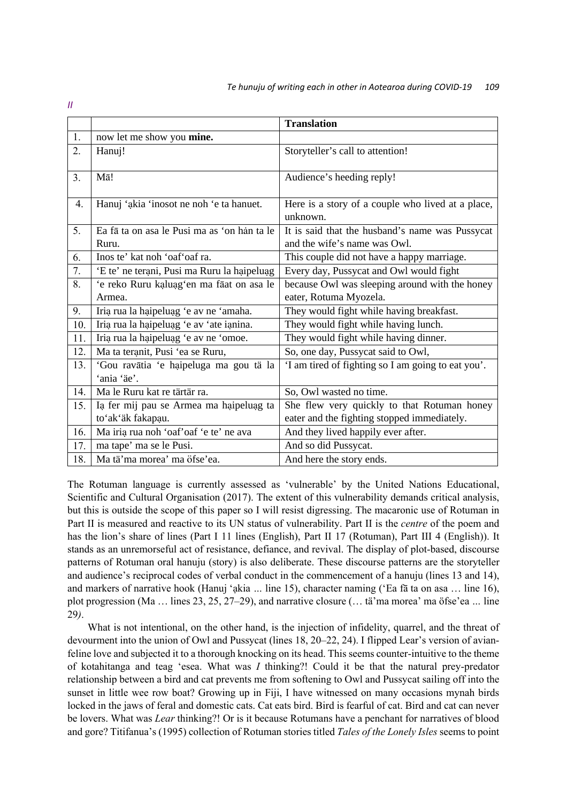|     |                                                       | <b>Translation</b>                                                              |
|-----|-------------------------------------------------------|---------------------------------------------------------------------------------|
| 1.  | now let me show you mine.                             |                                                                                 |
| 2.  | Hanuj!                                                | Storyteller's call to attention!                                                |
| 3.  | Mā!                                                   | Audience's heeding reply!                                                       |
| 4.  | Hanuj 'akia 'inosot ne noh 'e ta hanuet.              | Here is a story of a couple who lived at a place,<br>unknown.                   |
| 5.  | Ea fã ta on asa le Pusi ma as 'on han ta le<br>Ruru.  | It is said that the husband's name was Pussycat<br>and the wife's name was Owl. |
| 6.  | Inos te' kat noh 'oaf' oaf ra.                        | This couple did not have a happy marriage.                                      |
| 7.  | 'E te' ne terani, Pusi ma Ruru la haipeluag           | Every day, Pussycat and Owl would fight                                         |
| 8.  | 'e reko Ruru kaluag'en ma fāat on asa le              | because Owl was sleeping around with the honey                                  |
|     | Armea.                                                | eater, Rotuma Myozela.                                                          |
| 9.  | Iria rua la haipeluag 'e av ne 'amaha.                | They would fight while having breakfast.                                        |
| 10. | Iria rua la haipeluag 'e av 'ate ianina.              | They would fight while having lunch.                                            |
| 11. | Iria rua la haipeluag 'e av ne 'omoe.                 | They would fight while having dinner.                                           |
| 12. | Ma ta teranit, Pusi 'ea se Ruru,                      | So, one day, Pussycat said to Owl,                                              |
| 13. | 'Gou ravātia 'e haipeluga ma gou tä la<br>'ania 'äe'. | 'I am tired of fighting so I am going to eat you'.                              |
| 14. | Ma le Ruru kat re tärtär ra.                          | So, Owl wasted no time.                                                         |
| 15. | Ia fer mij pau se Armea ma haipeluag ta               | She flew very quickly to that Rotuman honey                                     |
|     | to'ak'äk fakapau.                                     | eater and the fighting stopped immediately.                                     |
| 16. | Ma iria rua noh 'oaf' oaf 'e te' ne ava               | And they lived happily ever after.                                              |
| 17. | ma tape' ma se le Pusi.                               | And so did Pussycat.                                                            |
| 18. | Ma tä'ma morea' ma öfse'ea.                           | And here the story ends.                                                        |
|     |                                                       |                                                                                 |

The Rotuman language is currently assessed as 'vulnerable' by the United Nations Educational, Scientific and Cultural Organisation (2017). The extent of this vulnerability demands critical analysis, but this is outside the scope of this paper so I will resist digressing. The macaronic use of Rotuman in Part II is measured and reactive to its UN status of vulnerability. Part II is the *centre* of the poem and has the lion's share of lines (Part I 11 lines (English), Part II 17 (Rotuman), Part III 4 (English)). It stands as an unremorseful act of resistance, defiance, and revival. The display of plot-based, discourse patterns of Rotuman oral hanuju (story) is also deliberate. These discourse patterns are the storyteller and audience's reciprocal codes of verbal conduct in the commencement of a hanuju (lines 13 and 14), and markers of narrative hook (Hanuj 'ạkia *…* line 15), character naming ('Ea fā ta on asa … line 16), plot progression (Ma … lines 23, 25, 27–29), and narrative closure (… tä'ma morea' ma ӧfse'ea *…* line 29*)*.

What is not intentional, on the other hand, is the injection of infidelity, quarrel, and the threat of devourment into the union of Owl and Pussycat (lines 18, 20–22, 24). I flipped Lear's version of avianfeline love and subjected it to a thorough knocking on its head. This seems counter-intuitive to the theme of kotahitanga and teag 'esea. What was *I* thinking?! Could it be that the natural prey-predator relationship between a bird and cat prevents me from softening to Owl and Pussycat sailing off into the sunset in little wee row boat? Growing up in Fiji, I have witnessed on many occasions mynah birds locked in the jaws of feral and domestic cats. Cat eats bird. Bird is fearful of cat. Bird and cat can never be lovers. What was *Lear* thinking?! Or is it because Rotumans have a penchant for narratives of blood and gore? Titifanua's (1995) collection of Rotuman stories titled *Tales of the Lonely Isles* seems to point

*II*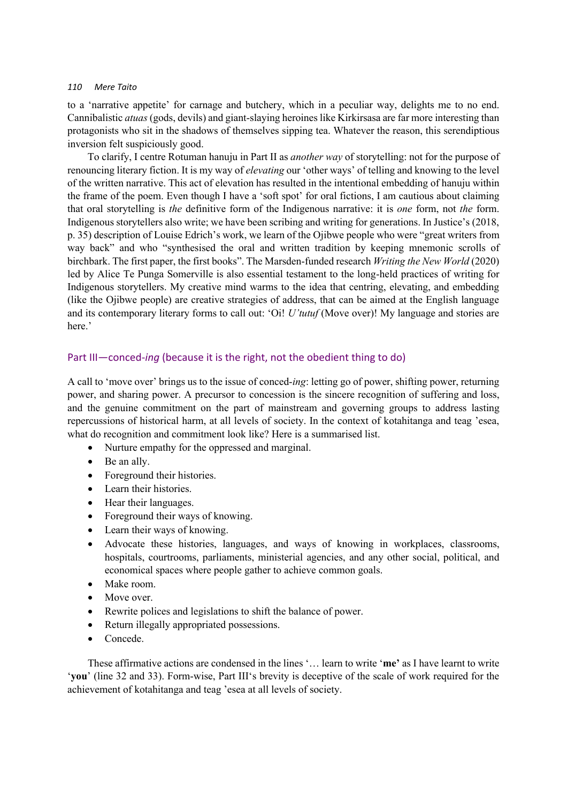to a 'narrative appetite' for carnage and butchery, which in a peculiar way, delights me to no end. Cannibalistic *atuas* (gods, devils) and giant-slaying heroines like Kirkirsasa are far more interesting than protagonists who sit in the shadows of themselves sipping tea. Whatever the reason, this serendiptious inversion felt suspiciously good.

To clarify, I centre Rotuman hanuju in Part II as *another way* of storytelling: not for the purpose of renouncing literary fiction. It is my way of *elevating* our 'other ways' of telling and knowing to the level of the written narrative. This act of elevation has resulted in the intentional embedding of hanuju within the frame of the poem. Even though I have a 'soft spot' for oral fictions, I am cautious about claiming that oral storytelling is *the* definitive form of the Indigenous narrative: it is *one* form, not *the* form. Indigenous storytellers also write; we have been scribing and writing for generations. In Justice's (2018, p. 35) description of Louise Edrich's work, we learn of the Ojibwe people who were "great writers from way back" and who "synthesised the oral and written tradition by keeping mnemonic scrolls of birchbark. The first paper, the first books". The Marsden-funded research *Writing the New World* (2020) led by Alice Te Punga Somerville is also essential testament to the long-held practices of writing for Indigenous storytellers. My creative mind warms to the idea that centring, elevating, and embedding (like the Ojibwe people) are creative strategies of address, that can be aimed at the English language and its contemporary literary forms to call out: 'Oi! *U'tutuf* (Move over)! My language and stories are here.'

### Part III—conced-*ing* (because it is the right, not the obedient thing to do)

A call to 'move over' brings us to the issue of conced-*ing*: letting go of power, shifting power, returning power, and sharing power. A precursor to concession is the sincere recognition of suffering and loss, and the genuine commitment on the part of mainstream and governing groups to address lasting repercussions of historical harm, at all levels of society. In the context of kotahitanga and teag 'esea, what do recognition and commitment look like? Here is a summarised list.

- Nurture empathy for the oppressed and marginal.
- Be an ally.
- Foreground their histories.
- Learn their histories.
- Hear their languages.
- Foreground their ways of knowing.
- Learn their ways of knowing.
- Advocate these histories, languages, and ways of knowing in workplaces, classrooms, hospitals, courtrooms, parliaments, ministerial agencies, and any other social, political, and economical spaces where people gather to achieve common goals.
- Make room.
- Move over.
- Rewrite polices and legislations to shift the balance of power.
- Return illegally appropriated possessions.
- Concede.

These affirmative actions are condensed in the lines '… learn to write '**me'** as I have learnt to write '**you**' (line 32 and 33). Form-wise, Part III's brevity is deceptive of the scale of work required for the achievement of kotahitanga and teag 'esea at all levels of society.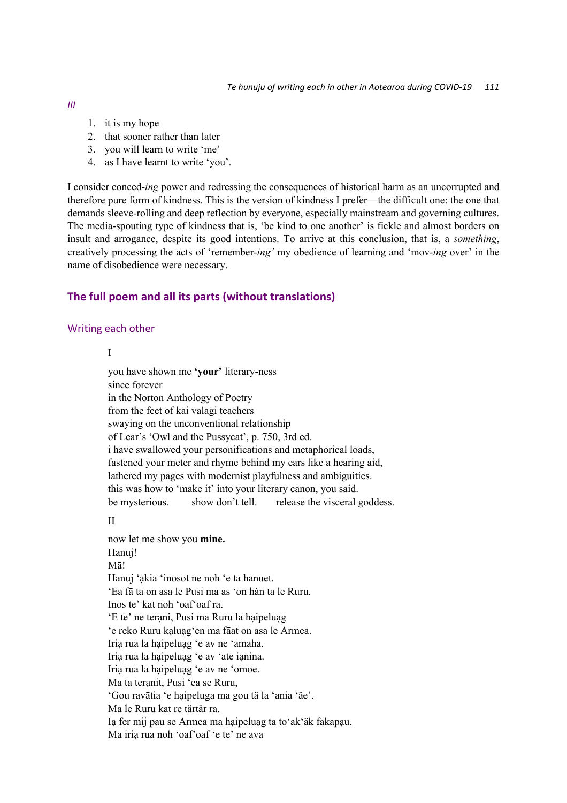- *III*
- 1. it is my hope
- 2. that sooner rather than later
- 3. you will learn to write 'me'
- 4. as I have learnt to write 'you'.

I consider conced-*ing* power and redressing the consequences of historical harm as an uncorrupted and therefore pure form of kindness. This is the version of kindness I prefer—the difficult one: the one that demands sleeve-rolling and deep reflection by everyone, especially mainstream and governing cultures. The media-spouting type of kindness that is, 'be kind to one another' is fickle and almost borders on insult and arrogance, despite its good intentions. To arrive at this conclusion, that is, a *something*, creatively processing the acts of 'remember-*ing'* my obedience of learning and 'mov-*ing* over' in the name of disobedience were necessary.

### **The full poem and all its parts (without translations)**

#### Writing each other

I

you have shown me **'your'** literary-ness since forever in the Norton Anthology of Poetry from the feet of kai valagi teachers swaying on the unconventional relationship of Lear's 'Owl and the Pussycat', p. 750, 3rd ed. i have swallowed your personifications and metaphorical loads, fastened your meter and rhyme behind my ears like a hearing aid, lathered my pages with modernist playfulness and ambiguities. this was how to 'make it' into your literary canon, you said. be mysterious. show don't tell. release the visceral goddess.

II

now let me show you **mine.** Hanuj! Mā! Hanuj 'ạkia 'inosot ne noh 'e ta hanuet. 'Ea fā ta on asa le Pusi ma as 'on han ta le Ruru. Inos te' kat noh 'oaf'oaf ra. 'E te' ne terani, Pusi ma Ruru la haipeluag 'e reko Ruru kạluạg'en ma fāat on asa le Armea. Iriạ rua la hạipeluạg 'e av ne 'amaha. Iriạ rua la hạipeluạg 'e av 'ate iạnina. Iriạ rua la hạipeluạg 'e av ne 'omoe. Ma ta teranit, Pusi 'ea se Ruru, 'Gou ravātia 'e hạipeluga ma gou tä la 'ania 'äe'. Ma le Ruru kat re tärtär ra. Iạ fer mij pau se Armea ma hạipeluạg ta to'ak'äk fakapạu. Ma iriạ rua noh 'oaf'oaf 'e te' ne ava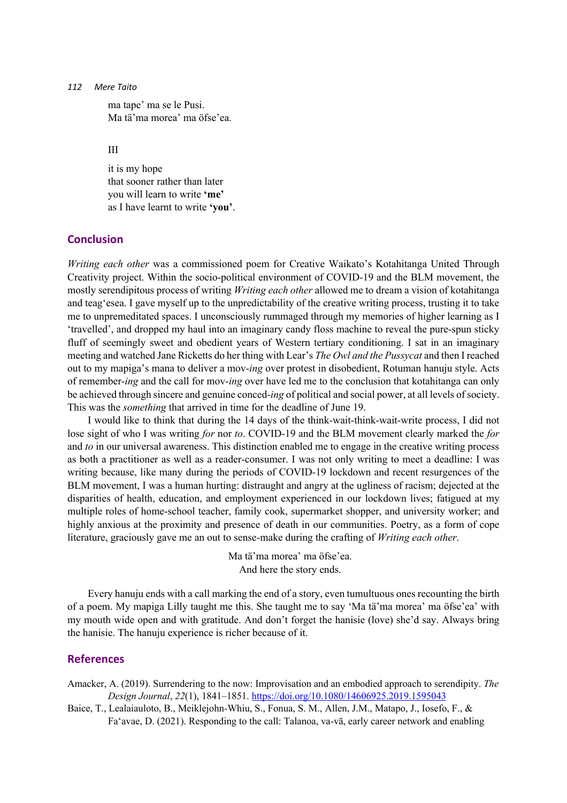ma tape' ma se le Pusi. Ma tä'ma morea' ma öfse'ea.

III

it is my hope that sooner rather than later you will learn to write **'me'** as I have learnt to write **'you'**.

### **Conclusion**

*Writing each other* was a commissioned poem for Creative Waikato's Kotahitanga United Through Creativity project. Within the socio-political environment of COVID-19 and the BLM movement, the mostly serendipitous process of writing *Writing each other* allowed me to dream a vision of kotahitanga and teag'esea. I gave myself up to the unpredictability of the creative writing process, trusting it to take me to unpremeditated spaces. I unconsciously rummaged through my memories of higher learning as I 'travelled', and dropped my haul into an imaginary candy floss machine to reveal the pure-spun sticky fluff of seemingly sweet and obedient years of Western tertiary conditioning. I sat in an imaginary meeting and watched Jane Ricketts do her thing with Lear's *The Owl and the Pussycat* and then I reached out to my mapiga's mana to deliver a mov-*ing* over protest in disobedient, Rotuman hanuju style. Acts of remember-*ing* and the call for mov-*ing* over have led me to the conclusion that kotahitanga can only be achieved through sincere and genuine conced-*ing* of political and social power, at all levels of society. This was the *something* that arrived in time for the deadline of June 19.

I would like to think that during the 14 days of the think-wait-think-wait-write process, I did not lose sight of who I was writing *for* nor *to*. COVID-19 and the BLM movement clearly marked the *for* and *to* in our universal awareness. This distinction enabled me to engage in the creative writing process as both a practitioner as well as a reader-consumer. I was not only writing to meet a deadline: I was writing because, like many during the periods of COVID-19 lockdown and recent resurgences of the BLM movement, I was a human hurting: distraught and angry at the ugliness of racism; dejected at the disparities of health, education, and employment experienced in our lockdown lives; fatigued at my multiple roles of home-school teacher, family cook, supermarket shopper, and university worker; and highly anxious at the proximity and presence of death in our communities. Poetry, as a form of cope literature, graciously gave me an out to sense-make during the crafting of *Writing each other*.

> Ma tä'ma morea' ma ӧfse'ea. And here the story ends.

Every hanuju ends with a call marking the end of a story, even tumultuous ones recounting the birth of a poem. My mapiga Lilly taught me this. She taught me to say 'Ma tä'ma morea' ma ӧfse'ea' with my mouth wide open and with gratitude. And don't forget the hanisie (love) she'd say. Always bring the hanisie. The hanuju experience is richer because of it.

#### **References**

Amacker, A. (2019). Surrendering to the now: Improvisation and an embodied approach to serendipity. *The Design Journal*, *22*(1), 1841–1851. https://doi.org/10.1080/14606925.2019.1595043

Baice, T., Lealaiauloto, B., Meiklejohn-Whiu, S., Fonua, S. M., Allen, J.M., Matapo, J., Iosefo, F., & Fa'avae, D. (2021). Responding to the call: Talanoa, va-vā, early career network and enabling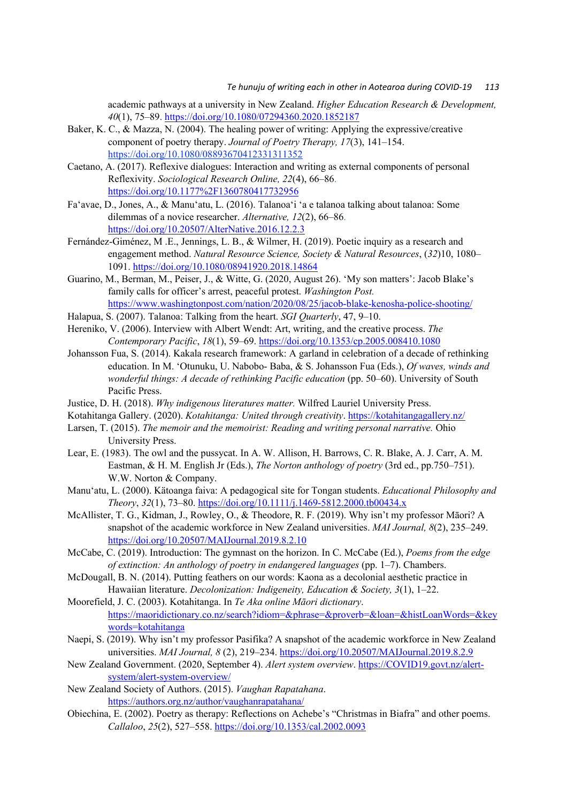academic pathways at a university in New Zealand. *Higher Education Research & Development, 40*(1), 75–89. https://doi.org/10.1080/07294360.2020.1852187

- Baker, K. C., & Mazza, N. (2004). The healing power of writing: Applying the expressive/creative component of poetry therapy. *Journal of Poetry Therapy, 17*(3), 141–154. https://doi.org/10.1080/08893670412331311352
- Caetano, A. (2017). Reflexive dialogues: Interaction and writing as external components of personal Reflexivity. *Sociological Research Online, 22*(4), 66–86. https://doi.org/10.1177%2F1360780417732956
- Fa'avae, D., Jones, A., & Manu'atu, L. (2016). Talanoa'i 'a e talanoa talking about talanoa: Some dilemmas of a novice researcher. *Alternative, 12*(2), 66–86. https://doi.org/10.20507/AlterNative.2016.12.2.3
- Fernández-Giménez, M .E., Jennings, L. B., & Wilmer, H. (2019). Poetic inquiry as a research and engagement method. *Natural Resource Science, Society & Natural Resources*, (*32*)10, 1080– 1091. https://doi.org/10.1080/08941920.2018.14864
- Guarino, M., Berman, M., Peiser, J., & Witte, G. (2020, August 26). 'My son matters': Jacob Blake's family calls for officer's arrest, peaceful protest. *Washington Post.* https://www.washingtonpost.com/nation/2020/08/25/jacob-blake-kenosha-police-shooting/
- Halapua, S. (2007). Talanoa: Talking from the heart. *SGI Quarterly*, 47, 9–10.
- Hereniko, V. (2006). Interview with Albert Wendt: Art, writing, and the creative process. *The Contemporary Pacific*, *18*(1), 59–69. https://doi.org/10.1353/cp.2005.008410.1080
- Johansson Fua, S. (2014). Kakala research framework: A garland in celebration of a decade of rethinking education. In M. 'Otunuku, U. Nabobo- Baba, & S. Johansson Fua (Eds.), *Of waves, winds and wonderful things: A decade of rethinking Pacific education* (pp. 50–60). University of South Pacific Press.
- Justice, D. H. (2018). *Why indigenous literatures matter.* Wilfred Lauriel University Press.
- Kotahitanga Gallery. (2020). *Kotahitanga: United through creativity*. https://kotahitangagallery.nz/
- Larsen, T. (2015). *The memoir and the memoirist: Reading and writing personal narrative.* Ohio University Press.
- Lear, E. (1983). The owl and the pussycat. In A. W. Allison, H. Barrows, C. R. Blake, A. J. Carr, A. M. Eastman, & H. M. English Jr (Eds.), *The Norton anthology of poetry* (3rd ed., pp.750–751). W.W. Norton & Company.
- Manu'atu, L. (2000). Kätoanga faiva: A pedagogical site for Tongan students. *Educational Philosophy and Theory*, *32*(1), 73–80. https://doi.org/10.1111/j.1469-5812.2000.tb00434.x
- McAllister, T. G., Kidman, J., Rowley, O., & Theodore, R. F. (2019). Why isn't my professor Māori? A snapshot of the academic workforce in New Zealand universities. *MAI Journal, 8*(2), 235–249. https://doi.org/10.20507/MAIJournal.2019.8.2.10
- McCabe, C. (2019). Introduction: The gymnast on the horizon. In C. McCabe (Ed.), *Poems from the edge of extinction: An anthology of poetry in endangered languages* (pp. 1–7). Chambers.
- McDougall, B. N. (2014). Putting feathers on our words: Kaona as a decolonial aesthetic practice in Hawaiian literature. *Decolonization: Indigeneity, Education & Society, 3*(1), 1–22.
- Moorefield, J. C. (2003). Kotahitanga. In *Te Aka online Māori dictionary*. https://maoridictionary.co.nz/search?idiom=&phrase=&proverb=&loan=&histLoanWords=&key words=kotahitanga
- Naepi, S. (2019). Why isn't my professor Pasifika? A snapshot of the academic workforce in New Zealand universities. *MAI Journal, 8* (2), 219–234. https://doi.org/10.20507/MAIJournal.2019.8.2.9
- New Zealand Government. (2020, September 4). *Alert system overview*. https://COVID19.govt.nz/alertsystem/alert-system-overview/
- New Zealand Society of Authors. (2015). *Vaughan Rapatahana*. https://authors.org.nz/author/vaughanrapatahana/
- Obiechina, E. (2002). Poetry as therapy: Reflections on Achebe's "Christmas in Biafra" and other poems. *Callaloo*, *25*(2), 527–558. https://doi.org/10.1353/cal.2002.0093